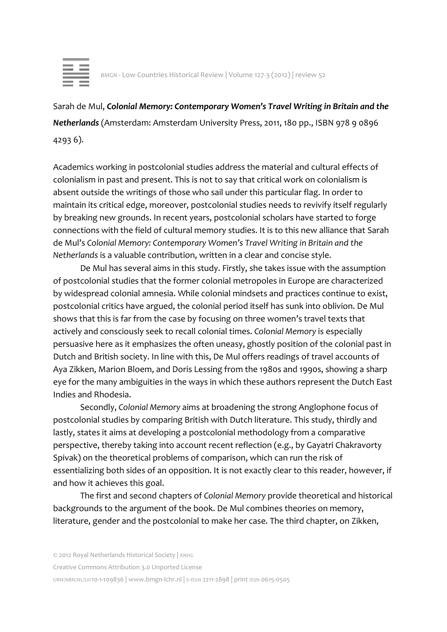

Sarah de Mul, *Colonial Memory: Contemporary Women's Travel Writing in Britain and the Netherlands* (Amsterdam: Amsterdam University Press, 2011, 180 pp., ISBN 978 9 0896 4293 6).

Academics working in postcolonial studies address the material and cultural effects of colonialism in past and present. This is not to say that critical work on colonialism is absent outside the writings of those who sail under this particular flag. In order to maintain its critical edge, moreover, postcolonial studies needs to revivify itself regularly by breaking new grounds. In recent years, postcolonial scholars have started to forge connections with the field of cultural memory studies. It is to this new alliance that Sarah de Mul's *Colonial Memory: Contemporary Women's Travel Writing in Britain and the Netherlands* is a valuable contribution, written in a clear and concise style.

De Mul has several aims in this study. Firstly, she takes issue with the assumption of postcolonial studies that the former colonial metropoles in Europe are characterized by widespread colonial amnesia. While colonial mindsets and practices continue to exist, postcolonial critics have argued, the colonial period itself has sunk into oblivion. De Mul shows that this is far from the case by focusing on three women's travel texts that actively and consciously seek to recall colonial times. *Colonial Memory* is especially persuasive here as it emphasizes the often uneasy, ghostly position of the colonial past in Dutch and British society. In line with this, De Mul offers readings of travel accounts of Aya Zikken, Marion Bloem, and Doris Lessing from the 1980s and 1990s, showing a sharp eye for the many ambiguities in the ways in which these authors represent the Dutch East Indies and Rhodesia.

Secondly, *Colonial Memory* aims at broadening the strong Anglophone focus of postcolonial studies by comparing British with Dutch literature. This study, thirdly and lastly, states it aims at developing a postcolonial methodology from a comparative perspective, thereby taking into account recent reflection (e.g., by Gayatri Chakravorty Spivak) on the theoretical problems of comparison, which can run the risk of essentializing both sides of an opposition. It is not exactly clear to this reader, however, if and how it achieves this goal.

The first and second chapters of *Colonial Memory* provide theoretical and historical backgrounds to the argument of the book. De Mul combines theories on memory, literature, gender and the postcolonial to make her case. The third chapter, on Zikken,

Creative Commons Attribution 3.0 Unported License

URN:NBN:NL:UI:10-1-109836 | www.bmgn-lchr.nl | E-ISSN 2211-2898 | print ISSN 0615-0505